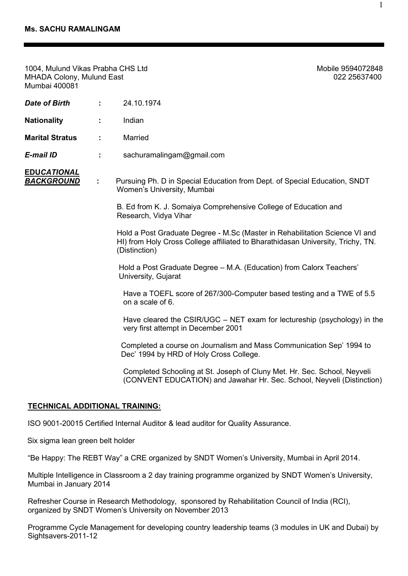| <b>MHADA Colony, Mulund East</b><br><b>Mumbai 400081</b> |    | 022 25637400                                                                                                                                                                    |
|----------------------------------------------------------|----|---------------------------------------------------------------------------------------------------------------------------------------------------------------------------------|
| <b>Date of Birth</b>                                     | ÷. | 24.10.1974                                                                                                                                                                      |
| <b>Nationality</b>                                       | ÷  | Indian                                                                                                                                                                          |
| <b>Marital Stratus</b>                                   | ÷  | Married                                                                                                                                                                         |
| E-mail ID                                                | ÷. | sachuramalingam@gmail.com                                                                                                                                                       |
| <b>EDUCATIONAL</b><br><b>BACKGROUND</b>                  | ÷  | Pursuing Ph. D in Special Education from Dept. of Special Education, SNDT<br>Women's University, Mumbai                                                                         |
|                                                          |    | B. Ed from K. J. Somaiya Comprehensive College of Education and<br>Research, Vidya Vihar                                                                                        |
|                                                          |    | Hold a Post Graduate Degree - M.Sc (Master in Rehabilitation Science VI and<br>HI) from Holy Cross College affiliated to Bharathidasan University, Trichy, TN.<br>(Distinction) |
|                                                          |    | Hold a Post Graduate Degree - M.A. (Education) from Calorx Teachers'<br>University, Gujarat                                                                                     |
|                                                          |    | Have a TOEFL score of 267/300-Computer based testing and a TWE of 5.5<br>on a scale of 6.                                                                                       |
|                                                          |    | Have cleared the CSIR/UGC $-$ NET exam for lectureship (psychology) in the<br>very first attempt in December 2001                                                               |
|                                                          |    | Completed a course on Journalism and Mass Communication Sep' 1994 to<br>Dec' 1994 by HRD of Holy Cross College.                                                                 |
|                                                          |    | Completed Schooling at St. Joseph of Cluny Met. Hr. Sec. School, Neyveli<br>(CONVENT EDUCATION) and Jawahar Hr. Sec. School, Neyveli (Distinction)                              |
|                                                          |    |                                                                                                                                                                                 |

# **TECHNICAL ADDITIONAL TRAINING:**

ISO 9001-20015 Certified Internal Auditor & lead auditor for Quality Assurance.

Six sigma lean green belt holder

"Be Happy: The REBT Way" a CRE organized by SNDT Women's University, Mumbai in April 2014.

Multiple Intelligence in Classroom a 2 day training programme organized by SNDT Women's University, Mumbai in January 2014

Refresher Course in Research Methodology, sponsored by Rehabilitation Council of India (RCI), organized by SNDT Women's University on November 2013

Programme Cycle Management for developing country leadership teams (3 modules in UK and Dubai) by Sightsavers-2011-12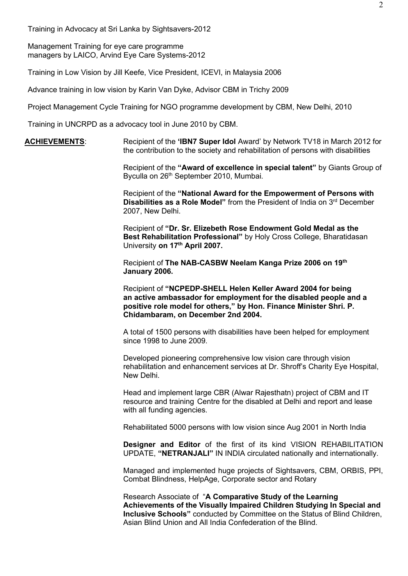Training in Advocacy at Sri Lanka by Sightsavers-2012

Management Training for eye care programme managers by LAICO, Arvind Eye Care Systems-2012

Training in Low Vision by Jill Keefe, Vice President, ICEVI, in Malaysia 2006

Advance training in low vision by Karin Van Dyke, Advisor CBM in Trichy 2009

Project Management Cycle Training for NGO programme development by CBM, New Delhi, 2010

Training in UNCRPD as a advocacy tool in June 2010 by CBM.

**ACHIEVEMENTS**: Recipient of the **'IBN7 Super Idol** Award' by Network TV18 in March 2012 for the contribution to the society and rehabilitation of persons with disabilities

> Recipient of the **"Award of excellence in special talent"** by Giants Group of Byculla on 26<sup>th</sup> September 2010, Mumbai.

Recipient of the **"National Award for the Empowerment of Persons with Disabilities as a Role Model**" from the President of India on 3<sup>rd</sup> December 2007, New Delhi.

Recipient of **"Dr. Sr. Elizebeth Rose Endowment Gold Medal as the Best Rehabilitation Professional"** by Holy Cross College, Bharatidasan University **on 17th April 2007.**

Recipient of **The NAB-CASBW Neelam Kanga Prize 2006 on 19th January 2006.** 

Recipient of **"NCPEDP-SHELL Helen Keller Award 2004 for being an active ambassador for employment for the disabled people and a positive role model for others," by Hon. Finance Minister Shri. P. Chidambaram, on December 2nd 2004.** 

A total of 1500 persons with disabilities have been helped for employment since 1998 to June 2009.

Developed pioneering comprehensive low vision care through vision rehabilitation and enhancement services at Dr. Shroff's Charity Eye Hospital, New Delhi.

Head and implement large CBR (Alwar Rajesthatn) project of CBM and IT resource and training Centre for the disabled at Delhi and report and lease with all funding agencies.

Rehabilitated 5000 persons with low vision since Aug 2001 in North India

**Designer and Editor** of the first of its kind VISION REHABILITATION UPDATE, **"NETRANJALI"** IN INDIA circulated nationally and internationally.

Managed and implemented huge projects of Sightsavers, CBM, ORBIS, PPI, Combat Blindness, HelpAge, Corporate sector and Rotary

Research Associate of "**A Comparative Study of the Learning Achievements of the Visually Impaired Children Studying In Special and Inclusive Schools"** conducted by Committee on the Status of Blind Children, Asian Blind Union and All India Confederation of the Blind.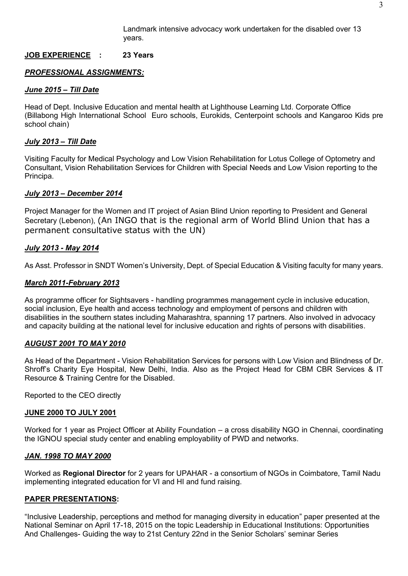Landmark intensive advocacy work undertaken for the disabled over 13 years.

# **JOB EXPERIENCE****: 23 Years**

# *PROFESSIONAL ASSIGNMENTS:*

#### *June 2015 – Till Date*

Head of Dept. Inclusive Education and mental health at Lighthouse Learning Ltd. Corporate Office (Billabong High International School Euro schools, Eurokids, Centerpoint schools and Kangaroo Kids pre school chain)

# *July 2013 – Till Date*

Visiting Faculty for Medical Psychology and Low Vision Rehabilitation for Lotus College of Optometry and Consultant, Vision Rehabilitation Services for Children with Special Needs and Low Vision reporting to the Principa.

# *July 2013 – December 2014*

Project Manager for the Women and IT project of Asian Blind Union reporting to President and General Secretary (Lebenon), (An INGO that is the regional arm of World Blind Union that has a permanent consultative status with the UN)

# *July 2013 - May 2014*

As Asst. Professor in SNDT Women's University, Dept. of Special Education & Visiting faculty for many years.

# *March 2011-February 2013*

As programme officer for Sightsavers - handling programmes management cycle in inclusive education, social inclusion, Eye health and access technology and employment of persons and children with disabilities in the southern states including Maharashtra, spanning 17 partners. Also involved in advocacy and capacity building at the national level for inclusive education and rights of persons with disabilities.

# *AUGUST 2001 TO MAY 2010*

As Head of the Department - Vision Rehabilitation Services for persons with Low Vision and Blindness of Dr. Shroff's Charity Eye Hospital, New Delhi, India. Also as the Project Head for CBM CBR Services & IT Resource & Training Centre for the Disabled.

Reported to the CEO directly

#### **JUNE 2000 TO JULY 2001**

Worked for 1 year as Project Officer at Ability Foundation – a cross disability NGO in Chennai, coordinating the IGNOU special study center and enabling employability of PWD and networks.

#### *JAN. 1998 TO MAY 2000*

Worked as **Regional Director** for 2 years for UPAHAR - a consortium of NGOs in Coimbatore, Tamil Nadu implementing integrated education for VI and HI and fund raising.

# **PAPER PRESENTATIONS:**

"Inclusive Leadership, perceptions and method for managing diversity in education" paper presented at the National Seminar on April 17-18, 2015 on the topic Leadership in Educational Institutions: Opportunities And Challenges- Guiding the way to 21st Century 22nd in the Senior Scholars' seminar Series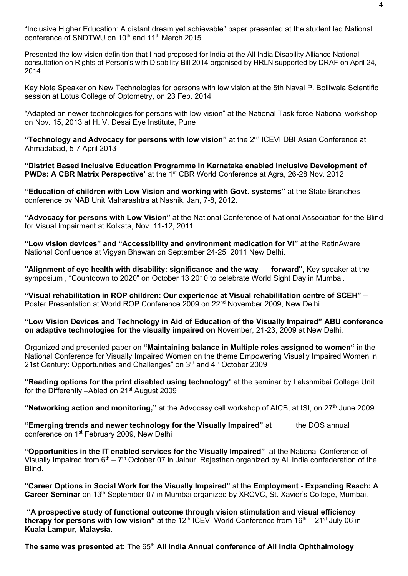"Inclusive Higher Education: A distant dream yet achievable" paper presented at the student led National conference of SNDTWU on  $10^{th}$  and  $11^{th}$  March 2015.

Presented the low vision definition that I had proposed for India at the [All I](https://www.facebook.com/hashtag/all?source=feed_text&story_id=10203533635804413)ndia Disability Alliance National consultation on Rights of Person's with Disability Bill 2014 organised by [HRLN](https://www.facebook.com/hashtag/hrln?source=feed_text&story_id=10203533635804413) supported by DRAF [on April 24,](https://www.facebook.com/hashtag/draf?source=feed_text&story_id=10203533635804413)  [2014.](https://www.facebook.com/hashtag/draf?source=feed_text&story_id=10203533635804413)

Key Note Speaker on New Technologies for persons with low vision at the 5th Naval P. Bolliwala Scientific session at Lotus College of Optometry, on 23 Feb. 2014

"Adapted an newer technologies for persons with low vision" at the National Task force National workshop on Nov. 15, 2013 at H. V. Desai Eye Institute, Pune

**"Technology and Advocacy for persons with low vision"** at the 2nd ICEVI DBI Asian Conference at Ahmadabad, 5-7 April 2013

**"District Based Inclusive Education Programme In Karnataka enabled Inclusive Development of PWDs: A CBR Matrix Perspective'** at the 1<sup>st</sup> CBR World Conference at Agra, 26-28 Nov. 2012

**"Education of children with Low Vision and working with Govt. systems"** at the State Branches conference by NAB Unit Maharashtra at Nashik, Jan, 7-8, 2012.

**"Advocacy for persons with Low Vision"** at the National Conference of National Association for the Blind for Visual Impairment at Kolkata, Nov. 11-12, 2011

**"Low vision devices" and "Accessibility and environment medication for VI"** at the RetinAware National Confluence at Vigyan Bhawan on September 24-25, 2011 New Delhi.

"Alignment of eye health with disability: significance and the way forward", Key speaker at the symposium , "Countdown to 2020" on October 13 2010 to celebrate World Sight Day in Mumbai.

**"Visual rehabilitation in ROP children: Our experience at Visual rehabilitation centre of SCEH" –** Poster Presentation at World ROP Conference 2009 on 22<sup>nd</sup> November 2009, New Delhi

**"Low Vision Devices and Technology in Aid of Education of the Visually Impaired" ABU conference on adaptive technologies for the visually impaired on** November, 21-23, 2009 at New Delhi.

Organized and presented paper on **"Maintaining balance in Multiple roles assigned to women"** in the National Conference for Visually Impaired Women on the theme Empowering Visually Impaired Women in 21st Century: Opportunities and Challenges" on 3<sup>rd</sup> and 4<sup>th</sup> October 2009

**"Reading options for the print disabled using technology**" at the seminar by Lakshmibai College Unit for the Differently –Abled on 21<sup>st</sup> August 2009

**"Networking action and monitoring,"** at the Advocasy cell workshop of AICB, at ISI, on 27th June 2009

**"Emerging trends and newer technology for the Visually Impaired"** at the DOS annual conference on 1st February 2009, New Delhi

**"Opportunities in the IT enabled services for the Visually Impaired"** at the National Conference of Visually Impaired from  $6<sup>th</sup> - 7<sup>th</sup>$  October 07 in Jaipur, Rajesthan organized by All India confederation of the Blind.

**"Career Options in Social Work for the Visually Impaired"** at the **Employment - Expanding Reach: A Career Seminar** on 13<sup>th</sup> September 07 in Mumbai organized by XRCVC, St. Xavier's College, Mumbai.

**"A prospective study of functional outcome through vision stimulation and visual efficiency therapy for persons with low vision"** at the 12<sup>th</sup> ICEVI World Conference from 16<sup>th</sup> – 21<sup>st</sup> July 06 in **Kuala Lampur, Malaysia.**

**The same was presented at:** The 65<sup>th</sup> All India Annual conference of All India Ophthalmology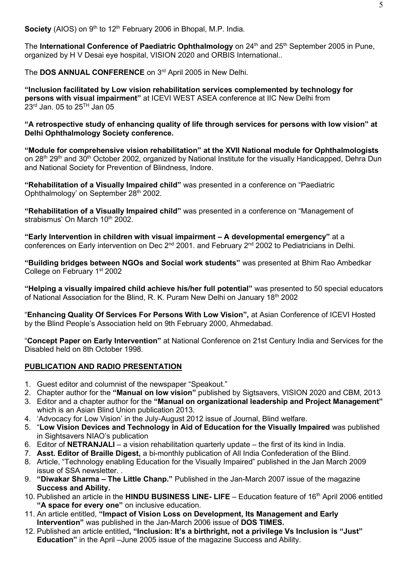**Society** (AIOS) on 9<sup>th</sup> to 12<sup>th</sup> February 2006 in Bhopal, M.P. India.

The **International Conference of Paediatric Ophthalmology** on 24<sup>th</sup> and 25<sup>th</sup> September 2005 in Pune, organized by H V Desai eye hospital, VISION 2020 and ORBIS International..

The **DOS ANNUAL CONFERENCE** on 3<sup>rd</sup> April 2005 in New Delhi.

**"Inclusion facilitated by Low vision rehabilitation services complemented by technology for persons with visual impairment"** at ICEVI WEST ASEA conference at IIC New Delhi from 23<sup>rd</sup> Jan. 05 to 25<sup>TH</sup> Jan 05

**"A retrospective study of enhancing quality of life through services for persons with low vision" at Delhi Ophthalmology Society conference.**

**"Module for comprehensive vision rehabilitation" at the XVII National module for Ophthalmologists**  on 28<sup>th</sup> 29<sup>th</sup> and 30<sup>th</sup> October 2002, organized by National Institute for the visually Handicapped, Dehra Dun and National Society for Prevention of Blindness, Indore.

**"Rehabilitation of a Visually Impaired child"** was presented in a conference on "Paediatric Ophthalmology' on September 28<sup>th</sup> 2002.

**"Rehabilitation of a Visually Impaired child"** was presented in a conference on "Management of strabismus' On March  $10<sup>th</sup>$  2002.

**"Early Intervention in children with visual impairment – A developmental emergency"** at a conferences on Early intervention on Dec 2<sup>nd</sup> 2001. and February 2<sup>nd</sup> 2002 to Pediatricians in Delhi.

**"Building bridges between NGOs and Social work students"** was presented at Bhim Rao Ambedkar College on February 1st 2002

**"Helping a visually impaired child achieve his/her full potential"** was presented to 50 special educators of National Association for the Blind, R. K. Puram New Delhi on January  $18<sup>th</sup>$  2002

"**Enhancing Quality Of Services For Persons With Low Vision",** at Asian Conference of ICEVI Hosted by the Blind People's Association held on 9th February 2000, Ahmedabad.

"**Concept Paper on Early Intervention"** at National Conference on 21st Century India and Services for the Disabled held on 8th October 1998.

# **PUBLICATION AND RADIO PRESENTATION**

- 1. Guest editor and columnist of the newspaper "Speakout."
- 2. Chapter author for the **"Manual on low vision"** published by Sigtsavers, VISION 2020 and CBM, 2013
- 3. Editor and a chapter author for the **"Manual on organizational leadership and Project Management"** which is an Asian Blind Union publication 2013.
- 4. 'Advocacy for Low Vision' in the July-August 2012 issue of Journal, Blind welfare.
- 5. "**Low Vision Devices and Technology in Aid of Education for the Visually Impaired** was published in Sightsavers NIAO's publication
- 6. Editor of **NETRANJALI**  a vision rehabilitation quarterly update the first of its kind in India.
- 7. **Asst. Editor of Braille Digest,** a bi-monthly publication of All India Confederation of the Blind.
- 8. Article, "Technology enabling Education for the Visually Impaired" published in the Jan March 2009 issue of SSA newsletter. .
- 9. **"Diwakar Sharma – The Little Chanp."** Published in the Jan-March 2007 issue of the magazine **Success and Ability.**
- 10. Published an article in the **HINDU BUSINESS LINE- LIFE** Education feature of 16th April 2006 entitled **"A space for every one"** on inclusive education.
- 11. An article entitled, **"Impact of Vision Loss on Development, Its Management and Early Intervention"** was published in the Jan-March 2006 issue of **DOS TIMES.**
- 12. Published an article entitled**, "Inclusion: It's a birthright, not a privilege Vs Inclusion is "Just" Education"** in the April –June 2005 issue of the magazine Success and Ability.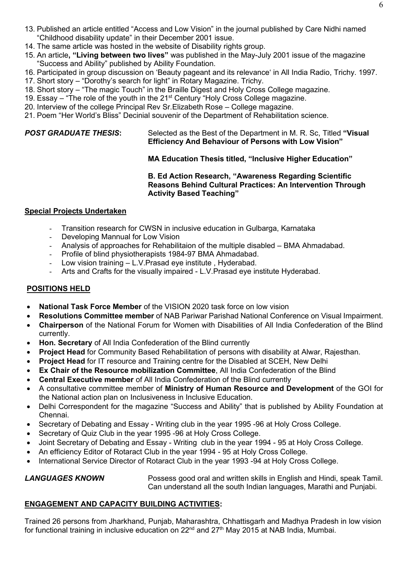- 13. Published an article entitled "Access and Low Vision" in the journal published by Care Nidhi named "Childhood disability update" in their December 2001 issue.
- 14. The same article was hosted in the website of Disability rights group.
- 15. An article**, "Living between two lives"** was published in the May-July 2001 issue of the magazine "Success and Ability" published by Ability Foundation.
- 16. Participated in group discussion on 'Beauty pageant and its relevance' in All India Radio, Trichy. 1997.
- 17. Short story "Dorothy's search for light" in Rotary Magazine. Trichy.
- 18. Short story "The magic Touch" in the Braille Digest and Holy Cross College magazine.
- 19. Essay "The role of the youth in the  $21<sup>st</sup>$  Century "Holy Cross College magazine.
- 20. Interview of the college Principal Rev Sr.Elizabeth Rose College magazine.
- 21. Poem "Her World's Bliss" Decinial souvenir of the Department of Rehabilitation science.

# **POST GRADUATE THESIS:** Selected as the Best of the Department in M. R. Sc. Titled "Visual **Efficiency And Behaviour of Persons with Low Vision"**

**MA Education Thesis titled, "Inclusive Higher Education"**

# **B. Ed Action Research, "Awareness Regarding Scientific Reasons Behind Cultural Practices: An Intervention Through Activity Based Teaching"**

# **Special Projects Undertaken**

- Transition research for CWSN in inclusive education in Gulbarga, Karnataka
- Developing Mannual for Low Vision
- Analysis of approaches for Rehabilitaion of the multiple disabled BMA Ahmadabad.
- Profile of blind physiotherapists 1984-97 BMA Ahmadabad.
- Low vision training L.V.Prasad eye institute, Hyderabad.
- Arts and Crafts for the visually impaired L.V. Prasad eye institute Hyderabad.

# **POSITIONS HELD**

- **National Task Force Member** of the VISION 2020 task force on low vision
- **Resolutions Committee member** of NAB Pariwar Parishad National Conference on Visual Impairment.
- **Chairperson** of the National Forum for Women with Disabilities of All India Confederation of the Blind currently.
- **Hon. Secretary** of All India Confederation of the Blind currently
- **Project Head** for Community Based Rehabilitation of persons with disability at Alwar, Rajesthan.
- **Project Head** for IT resource and Training centre for the Disabled at SCEH, New Delhi
- **Ex Chair of the Resource mobilization Committee**, All India Confederation of the Blind
- **Central Executive member** of All India Confederation of the Blind currently
- A consultative committee member of **Ministry of Human Resource and Development** of the GOI for the National action plan on Inclusiveness in Inclusive Education.
- Delhi Correspondent for the magazine "Success and Ability" that is published by Ability Foundation at Chennai.
- Secretary of Debating and Essay Writing club in the year 1995 -96 at Holy Cross College.
- Secretary of Quiz Club in the year 1995 -96 at Holy Cross College.
- Joint Secretary of Debating and Essay Writing club in the year 1994 95 at Holy Cross College.
- An efficiency Editor of Rotaract Club in the year 1994 95 at Holy Cross College.
- International Service Director of Rotaract Club in the year 1993 -94 at Holy Cross College.

**LANGUAGES KNOWN** Possess good oral and written skills in English and Hindi, speak Tamil. Can understand all the south Indian languages, Marathi and Punjabi.

# **ENGAGEMENT AND CAPACITY BUILDING ACTIVITIES:**

Trained 26 persons from Jharkhand, Punjab, Maharashtra, Chhattisgarh and Madhya Pradesh in low vision for functional training in inclusive education on 22<sup>nd</sup> and 27<sup>th</sup> May 2015 at NAB India, Mumbai.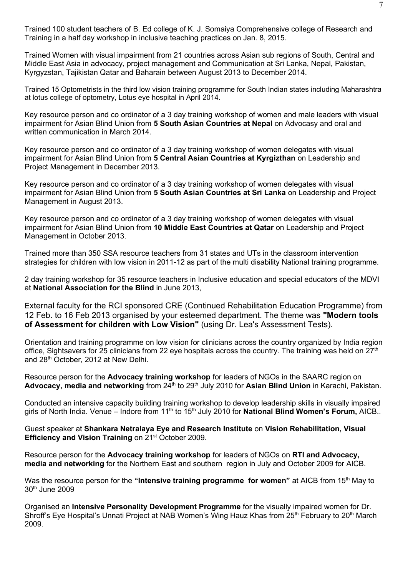Trained 100 student teachers of B. Ed college of K. J. Somaiya Comprehensive college of Research and Training in a half day workshop in inclusive teaching practices on Jan. 8, 2015.

Trained Women with visual impairment from 21 countries across Asian sub regions of South, Central and Middle East Asia in advocacy, project management and Communication at Sri Lanka, Nepal, Pakistan, Kyrgyzstan, Tajikistan Qatar and Baharain between August 2013 to December 2014.

Trained 15 Optometrists in the third low vision training programme for South Indian states including Maharashtra at lotus college of optometry, Lotus eye hospital in April 2014.

Key resource person and co ordinator of a 3 day training workshop of women and male leaders with visual impairment for Asian Blind Union from **5 South Asian Countries at Nepal** on Advocasy and oral and written communication in March 2014.

Key resource person and co ordinator of a 3 day training workshop of women delegates with visual impairment for Asian Blind Union from **5 Central Asian Countries at Kyrgizthan** on Leadership and Project Management in December 2013.

Key resource person and co ordinator of a 3 day training workshop of women delegates with visual impairment for Asian Blind Union from **5 South Asian Countries at Sri Lanka** on Leadership and Project Management in August 2013.

Key resource person and co ordinator of a 3 day training workshop of women delegates with visual impairment for Asian Blind Union from **10 Middle East Countries at Qatar** on Leadership and Project Management in October 2013.

Trained more than 350 SSA resource teachers from 31 states and UTs in the classroom intervention strategies for children with low vision in 2011-12 as part of the multi disability National training programme.

2 day training workshop for 35 resource teachers in Inclusive education and special educators of the MDVI at **National Association for the Blind** in June 2013,

External faculty for the RCI sponsored CRE (Continued Rehabilitation Education Programme) from 12 Feb. to 16 Feb 2013 organised by your esteemed department. The theme was **"Modern tools of Assessment for children with Low Vision"** (using Dr. Lea's Assessment Tests).

Orientation and training programme on low vision for clinicians across the country organized by India region office, Sightsavers for 25 clinicians from 22 eye hospitals across the country. The training was held on 27<sup>th</sup> and 28<sup>th</sup> October, 2012 at New Delhi.

Resource person for the **Advocacy training workshop** for leaders of NGOs in the SAARC region on Advocacy, media and networking from 24<sup>th</sup> to 29<sup>th</sup> July 2010 for Asian Blind Union in Karachi, Pakistan.

Conducted an intensive capacity building training workshop to develop leadership skills in visually impaired girls of North India. Venue – Indore from 11<sup>th</sup> to 15<sup>th</sup> July 2010 for **National Blind Women's Forum**, AICB..

Guest speaker at **Shankara Netralaya Eye and Research Institute** on **Vision Rehabilitation, Visual Efficiency and Vision Training** on 21<sup>st</sup> October 2009.

Resource person for the **Advocacy training workshop** for leaders of NGOs on **RTI and Advocacy, media and networking** for the Northern East and southern region in July and October 2009 for AICB.

Was the resource person for the "Intensive training programme for women" at AICB from 15<sup>th</sup> May to 30th June 2009

Organised an **Intensive Personality Development Programme** for the visually impaired women for Dr. Shroff's Eye Hospital's Unnati Project at NAB Women's Wing Hauz Khas from 25<sup>th</sup> February to 20<sup>th</sup> March 2009.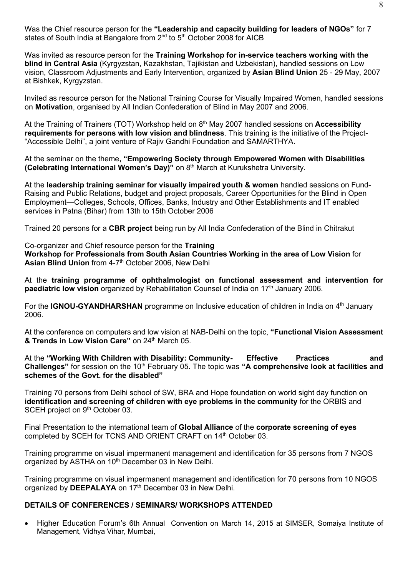Was the Chief resource person for the **"Leadership and capacity building for leaders of NGOs"** for 7 states of South India at Bangalore from 2<sup>nd</sup> to 5<sup>th</sup> October 2008 for AICB

Was invited as resource person for the **Training Workshop for in-service teachers working with the blind in Central Asia** (Kyrgyzstan, Kazakhstan, Tajikistan and Uzbekistan), handled sessions on Low vision, Classroom Adjustments and Early Intervention, organized by **Asian Blind Union** 25 - 29 May, 2007 at Bishkek, Kyrgyzstan.

Invited as resource person for the National Training Course for Visually Impaired Women, handled sessions on **Motivation**, organised by All Indian Confederation of Blind in May 2007 and 2006.

At the Training of Trainers (TOT) Workshop held on 8<sup>th</sup> May 2007 handled sessions on Accessibility **requirements for persons with low vision and blindness**. This training is the initiative of the Project- "Accessible Delhi", a joint venture of Rajiv Gandhi Foundation and SAMARTHYA.

At the seminar on the theme**, "Empowering Society through Empowered Women with Disabilities (Celebrating International Women's Day)"** on 8 th March at Kurukshetra University.

At the **leadership training seminar for visually impaired youth & women** handled sessions on Fund-Raising and Public Relations, budget and project proposals, Career Opportunities for the Blind in Open Employment—Colleges, Schools, Offices, Banks, Industry and Other Establishments and IT enabled services in Patna (Bihar) from 13th to 15th October 2006

Trained 20 persons for a **CBR project** being run by All India Confederation of the Blind in Chitrakut

Co-organizer and Chief resource person for the **Training Workshop for Professionals from South Asian Countries Working in the area of Low Vision** for **Asian Blind Union** from 4-7 th October 2006, New Delhi

At the **training programme of ophthalmologist on functional assessment and intervention for paediatric low vision** organized by Rehabilitation Counsel of India on 17<sup>th</sup> January 2006.

For the **IGNOU-GYANDHARSHAN** programme on Inclusive education of children in India on 4<sup>th</sup> January 2006.

At the conference on computers and low vision at NAB-Delhi on the topic, **"Functional Vision Assessment & Trends in Low Vision Care" on 24th March 05.** 

At the **"Working With Children with Disability: Community- Effective Practices and Challenges"** for session on the 10th February 05. The topic was **"A comprehensive look at facilities and schemes of the Govt. for the disabled"** 

Training 70 persons from Delhi school of SW, BRA and Hope foundation on world sight day function on **identification and screening of children with eye problems in the community** for the ORBIS and SCEH project on 9<sup>th</sup> October 03.

Final Presentation to the international team of **Global Alliance** of the **corporate screening of eyes** completed by SCEH for TCNS AND ORIENT CRAFT on 14<sup>th</sup> October 03.

Training programme on visual impermanent management and identification for 35 persons from 7 NGOS organized by ASTHA on 10<sup>th</sup> December 03 in New Delhi.

Training programme on visual impermanent management and identification for 70 persons from 10 NGOS organized by **DEEPALAYA** on 17<sup>th</sup> December 03 in New Delhi.

# **DETAILS OF CONFERENCES / SEMINARS/ WORKSHOPS ATTENDED**

• Higher Education Forum's 6th Annual Convention on March 14, 2015 at SIMSER, Somaiya Institute of Management, Vidhya Vihar, Mumbai,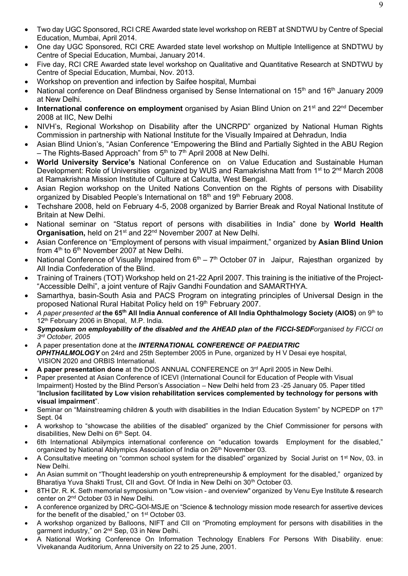- Two day UGC Sponsored, RCI CRE Awarded state level workshop on REBT at SNDTWU by Centre of Special Education, Mumbai, April 2014.
- One day UGC Sponsored, RCI CRE Awarded state level workshop on Multiple Intelligence at SNDTWU by Centre of Special Education, Mumbai, January 2014.
- Five day, RCI CRE Awarded state level workshop on Qualitative and Quantitative Research at SNDTWU by Centre of Special Education, Mumbai, Nov. 2013.
- Workshop on prevention and infection by Saifee hospital, Mumbai
- National conference on Deaf Blindness organised by Sense International on 15<sup>th</sup> and 16<sup>th</sup> January 2009 at New Delhi.
- **International conference on employment** organised by Asian Blind Union on 21<sup>st</sup> and 22<sup>nd</sup> December 2008 at IIC, New Delhi
- NIVH's, Regional Workshop on Disability after the UNCRPD" organized by National Human Rights Commission in partnership with National Institute for the Visually Impaired at Dehradun, India
- Asian Blind Union's, "Asian Conference "Empowering the Blind and Partially Sighted in the ABU Region – The Rights-Based Approach" from  $5<sup>th</sup>$  to  $7<sup>th</sup>$  April 2008 at New Delhi.
- **World University Service's** National Conference on on Value Education and Sustainable Human Development: Role of Universities organized by WUS and Ramakrishna Matt from 1<sup>st</sup> to 2<sup>nd</sup> March 2008 at Ramakrishna Mission Institute of Culture at Calcutta, West Bengal.
- Asian Region workshop on the United Nations Convention on the Rights of persons with Disability organized by Disabled People's International on 18<sup>th</sup> and 19<sup>th</sup> February 2008.
- Techshare 2008, held on February 4-5, 2008 organized by Barrier Break and Royal National Institute of Britain at New Delhi.
- National seminar on "Status report of persons with disabilities in India" done by **World Health**  Organisation, held on 21<sup>st</sup> and 22<sup>nd</sup> November 2007 at New Delhi.
- Asian Conference on "Employment of persons with visual impairment," organized by **Asian Blind Union** from  $4<sup>th</sup>$  to  $6<sup>th</sup>$  November 2007 at New Delhi.
- National Conference of Visually Impaired from  $6<sup>th</sup> 7<sup>th</sup>$  October 07 in Jaipur, Rajesthan organized by All India Confederation of the Blind.
- Training of Trainers (TOT) Workshop held on 21-22 April 2007. This training is the initiative of the Project- "Accessible Delhi", a joint venture of Rajiv Gandhi Foundation and SAMARTHYA.
- Samarthya, basin-South Asia and PACS Program on integrating principles of Universal Design in the proposed National Rural Habitat Policy held on 19<sup>th</sup> February 2007.
- *A paper presented at* **the 65th All India Annual conference of All India Ophthalmology Society (AIOS)** on 9th to 12<sup>th</sup> February 2006 in Bhopal, M.P. India.
- *Symposium on employability of the disabled and the AHEAD plan of the FICCI-SEDForganised by FICCI on 3 rd October, 2005*
- A paper presentation done at the *INTERNATIONAL CONFERENCE OF PAEDIATRIC OPHTHALMOLOGY* on 24rd and 25th September 2005 in Pune, organized by H V Desai eye hospital, VISION 2020 and ORBIS International.
- **A paper presentation done** at the DOS ANNUAL CONFERENCE on 3rd April 2005 in New Delhi.
- Paper presented at Asian Conference of ICEVI (International Council for Education of People with Visual Impairment) Hosted by the Blind Person's Association – New Delhi held from 23 -25 January 05. Paper titled "**Inclusion facilitated by Low vision rehabilitation services complemented by technology for persons with visual impairment**".
- Seminar on "Mainstreaming children & youth with disabilities in the Indian Education System" by NCPEDP on 17<sup>th</sup> Sept. 04
- A workshop to "showcase the abilities of the disabled" organized by the Chief Commissioner for persons with disabilities, New Delhi on 6<sup>th</sup> Sept. 04.
- 6th International Abilympics international conference on "education towards Employment for the disabled," organized by National Abilympics Association of India on 26<sup>th</sup> November 03.
- A Consultative meeting on "common school system for the disabled" organized by Social Jurist on 1st Nov, 03. in New Delhi.
- An Asian summit on "Thought leadership on youth entrepreneurship & employment for the disabled," organized by Bharatiya Yuva Shakti Trust, CII and Govt. Of India in New Delhi on 30<sup>th</sup> October 03.
- 8TH Dr. R. K. Seth memorial symposium on "Low vision and overview" organized by Venu Eye Institute & research center on 2nd October 03 in New Delhi.
- A conference organized by DRC-GOI-MSJE on "Science & technology mission mode research for assertive devices for the benefit of the disabled," on 1<sup>st</sup> October 03.
- A workshop organized by Balloons, NIFT and CII on "Promoting employment for persons with disabilities in the garment industry," on 2<sup>nd</sup> Sep, 03 in New Delhi.
- A National Working Conference On Information Technology Enablers For Persons With Disability. enue: Vivekananda Auditorium, Anna University on 22 to 25 June, 2001.